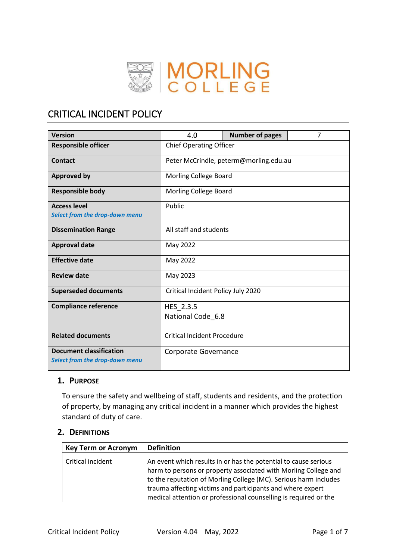

# CRITICAL INCIDENT POLICY

| <b>Version</b>                 | 4.0                                    | <b>Number of pages</b> | $\overline{7}$ |  |
|--------------------------------|----------------------------------------|------------------------|----------------|--|
| <b>Responsible officer</b>     | <b>Chief Operating Officer</b>         |                        |                |  |
| Contact                        | Peter McCrindle, peterm@morling.edu.au |                        |                |  |
| <b>Approved by</b>             | <b>Morling College Board</b>           |                        |                |  |
| <b>Responsible body</b>        | Morling College Board                  |                        |                |  |
| <b>Access level</b>            | Public                                 |                        |                |  |
| Select from the drop-down menu |                                        |                        |                |  |
| <b>Dissemination Range</b>     | All staff and students                 |                        |                |  |
| <b>Approval date</b>           | May 2022                               |                        |                |  |
| <b>Effective date</b>          | May 2022                               |                        |                |  |
| <b>Review date</b>             | May 2023                               |                        |                |  |
| <b>Superseded documents</b>    | Critical Incident Policy July 2020     |                        |                |  |
| <b>Compliance reference</b>    | HES 2.3.5                              |                        |                |  |
|                                | National Code 6.8                      |                        |                |  |
|                                |                                        |                        |                |  |
| <b>Related documents</b>       | <b>Critical Incident Procedure</b>     |                        |                |  |
| <b>Document classification</b> | Corporate Governance                   |                        |                |  |
| Select from the drop-down menu |                                        |                        |                |  |

# **1. PURPOSE**

To ensure the safety and wellbeing of staff, students and residents, and the protection of property, by managing any critical incident in a manner which provides the highest standard of duty of care.

# **2. DEFINITIONS**

| <b>Key Term or Acronym</b> | <b>Definition</b>                                                                                                                                                                                                                                                                                                                        |
|----------------------------|------------------------------------------------------------------------------------------------------------------------------------------------------------------------------------------------------------------------------------------------------------------------------------------------------------------------------------------|
| Critical incident          | An event which results in or has the potential to cause serious<br>harm to persons or property associated with Morling College and<br>to the reputation of Morling College (MC). Serious harm includes<br>trauma affecting victims and participants and where expert<br>medical attention or professional counselling is required or the |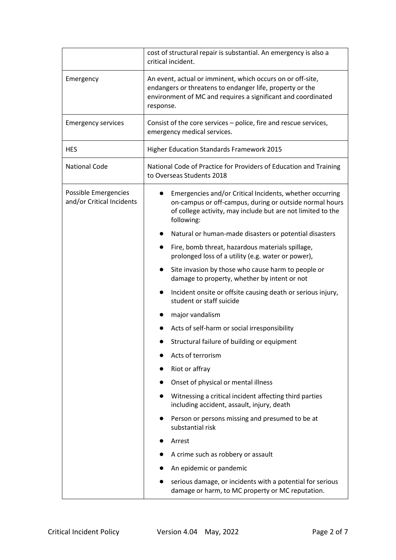|                                                   | cost of structural repair is substantial. An emergency is also a<br>critical incident.                                                                                                              |  |  |  |
|---------------------------------------------------|-----------------------------------------------------------------------------------------------------------------------------------------------------------------------------------------------------|--|--|--|
| Emergency                                         | An event, actual or imminent, which occurs on or off-site,<br>endangers or threatens to endanger life, property or the<br>environment of MC and requires a significant and coordinated<br>response. |  |  |  |
| <b>Emergency services</b>                         | Consist of the core services – police, fire and rescue services,<br>emergency medical services.                                                                                                     |  |  |  |
| <b>HES</b>                                        | Higher Education Standards Framework 2015                                                                                                                                                           |  |  |  |
| <b>National Code</b>                              | National Code of Practice for Providers of Education and Training<br>to Overseas Students 2018                                                                                                      |  |  |  |
| Possible Emergencies<br>and/or Critical Incidents | Emergencies and/or Critical Incidents, whether occurring<br>on-campus or off-campus, during or outside normal hours<br>of college activity, may include but are not limited to the<br>following:    |  |  |  |
|                                                   | Natural or human-made disasters or potential disasters<br>$\bullet$                                                                                                                                 |  |  |  |
|                                                   | Fire, bomb threat, hazardous materials spillage,<br>prolonged loss of a utility (e.g. water or power),                                                                                              |  |  |  |
|                                                   | Site invasion by those who cause harm to people or<br>damage to property, whether by intent or not                                                                                                  |  |  |  |
|                                                   | Incident onsite or offsite causing death or serious injury,<br>student or staff suicide                                                                                                             |  |  |  |
|                                                   | major vandalism                                                                                                                                                                                     |  |  |  |
|                                                   | Acts of self-harm or social irresponsibility                                                                                                                                                        |  |  |  |
|                                                   | Structural failure of building or equipment                                                                                                                                                         |  |  |  |
|                                                   | Acts of terrorism                                                                                                                                                                                   |  |  |  |
|                                                   | Riot or affray                                                                                                                                                                                      |  |  |  |
|                                                   | Onset of physical or mental illness                                                                                                                                                                 |  |  |  |
|                                                   | Witnessing a critical incident affecting third parties<br>including accident, assault, injury, death                                                                                                |  |  |  |
|                                                   | Person or persons missing and presumed to be at<br>substantial risk                                                                                                                                 |  |  |  |
|                                                   | Arrest                                                                                                                                                                                              |  |  |  |
|                                                   | A crime such as robbery or assault                                                                                                                                                                  |  |  |  |
|                                                   | An epidemic or pandemic                                                                                                                                                                             |  |  |  |
|                                                   | serious damage, or incidents with a potential for serious<br>damage or harm, to MC property or MC reputation.                                                                                       |  |  |  |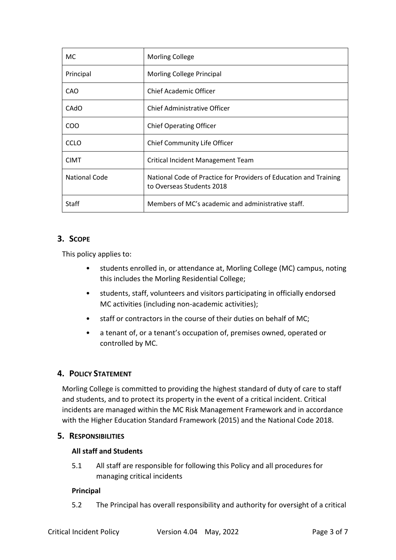| МC                   | <b>Morling College</b>                                                                         |  |
|----------------------|------------------------------------------------------------------------------------------------|--|
| Principal            | Morling College Principal                                                                      |  |
| CAO                  | <b>Chief Academic Officer</b>                                                                  |  |
| CAdO                 | <b>Chief Administrative Officer</b>                                                            |  |
| <b>COO</b>           | <b>Chief Operating Officer</b>                                                                 |  |
| <b>CCLO</b>          | Chief Community Life Officer                                                                   |  |
| <b>CIMT</b>          | Critical Incident Management Team                                                              |  |
| <b>National Code</b> | National Code of Practice for Providers of Education and Training<br>to Overseas Students 2018 |  |
| Staff                | Members of MC's academic and administrative staff.                                             |  |

# **3. SCOPE**

This policy applies to:

- students enrolled in, or attendance at, Morling College (MC) campus, noting this includes the Morling Residential College;
- students, staff, volunteers and visitors participating in officially endorsed MC activities (including non-academic activities);
- staff or contractors in the course of their duties on behalf of MC;
- a tenant of, or a tenant's occupation of, premises owned, operated or controlled by MC.

# **4. POLICY STATEMENT**

Morling College is committed to providing the highest standard of duty of care to staff and students, and to protect its property in the event of a critical incident. Critical incidents are managed within the MC Risk Management Framework and in accordance with the Higher Education Standard Framework (2015) and the National Code 2018.

# **5. RESPONSIBILITIES**

# **All staff and Students**

5.1 All staff are responsible for following this Policy and all procedures for managing critical incidents

# **Principal**

5.2 The Principal has overall responsibility and authority for oversight of a critical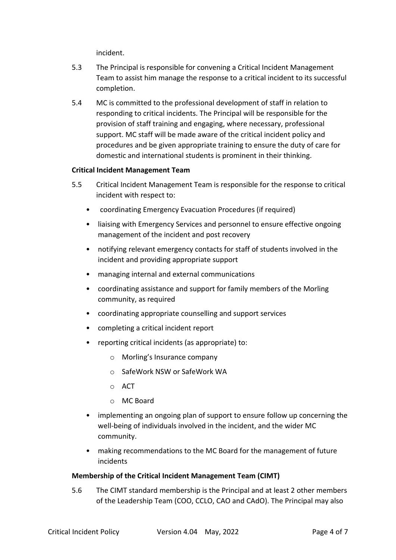incident.

- 5.3 The Principal is responsible for convening a Critical Incident Management Team to assist him manage the response to a critical incident to its successful completion.
- 5.4 MC is committed to the professional development of staff in relation to responding to critical incidents. The Principal will be responsible for the provision of staff training and engaging, where necessary, professional support. MC staff will be made aware of the critical incident policy and procedures and be given appropriate training to ensure the duty of care for domestic and international students is prominent in their thinking.

#### **Critical Incident Management Team**

- 5.5 Critical Incident Management Team is responsible for the response to critical incident with respect to:
	- coordinating Emergency Evacuation Procedures (if required)
	- liaising with Emergency Services and personnel to ensure effective ongoing management of the incident and post recovery
	- notifying relevant emergency contacts for staff of students involved in the incident and providing appropriate support
	- managing internal and external communications
	- coordinating assistance and support for family members of the Morling community, as required
	- coordinating appropriate counselling and support services
	- completing a critical incident report
	- reporting critical incidents (as appropriate) to:
		- o Morling's Insurance company
		- o SafeWork NSW or SafeWork WA
		- o ACT
		- o MC Board
	- implementing an ongoing plan of support to ensure follow up concerning the well-being of individuals involved in the incident, and the wider MC community.
	- making recommendations to the MC Board for the management of future incidents

#### **Membership of the Critical Incident Management Team (CIMT)**

5.6 The CIMT standard membership is the Principal and at least 2 other members of the Leadership Team (COO, CCLO, CAO and CAdO). The Principal may also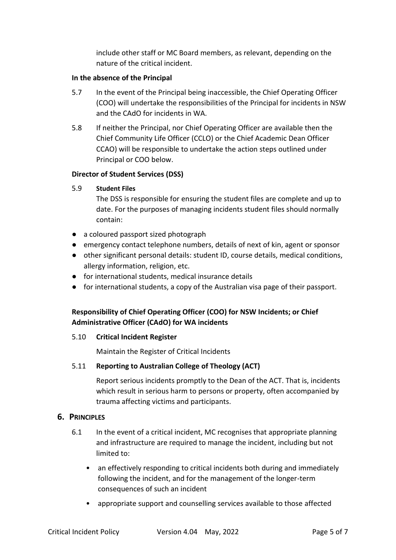include other staff or MC Board members, as relevant, depending on the nature of the critical incident.

#### **In the absence of the Principal**

- 5.7 In the event of the Principal being inaccessible, the Chief Operating Officer (COO) will undertake the responsibilities of the Principal for incidents in NSW and the CAdO for incidents in WA.
- 5.8 If neither the Principal, nor Chief Operating Officer are available then the Chief Community Life Officer (CCLO) or the Chief Academic Dean Officer CCAO) will be responsible to undertake the action steps outlined under Principal or COO below.

#### **Director of Student Services (DSS)**

#### 5.9 **Student Files**

The DSS is responsible for ensuring the student files are complete and up to date. For the purposes of managing incidents student files should normally contain:

- a coloured passport sized photograph
- emergency contact telephone numbers, details of next of kin, agent or sponsor
- other significant personal details: student ID, course details, medical conditions, allergy information, religion, etc.
- for international students, medical insurance details
- for international students, a copy of the Australian visa page of their passport.

# **Responsibility of Chief Operating Officer (COO) for NSW Incidents; or Chief Administrative Officer (CAdO) for WA incidents**

#### 5.10 **Critical Incident Register**

Maintain the Register of Critical Incidents

# 5.11 **Reporting to Australian College of Theology (ACT)**

Report serious incidents promptly to the Dean of the ACT. That is, incidents which result in serious harm to persons or property, often accompanied by trauma affecting victims and participants.

# **6. PRINCIPLES**

- 6.1 In the event of a critical incident, MC recognises that appropriate planning and infrastructure are required to manage the incident, including but not limited to:
	- an effectively responding to critical incidents both during and immediately following the incident, and for the management of the longer-term consequences of such an incident
	- appropriate support and counselling services available to those affected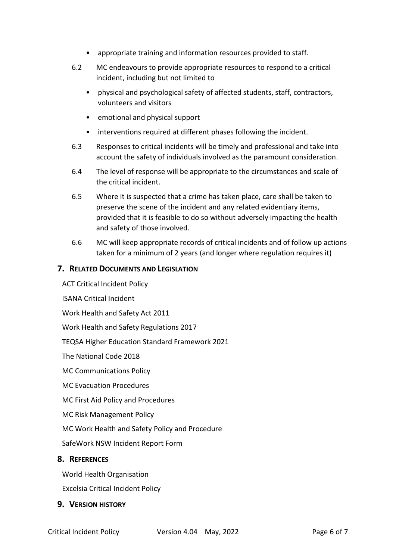- appropriate training and information resources provided to staff.
- 6.2 MC endeavours to provide appropriate resources to respond to a critical incident, including but not limited to
	- physical and psychological safety of affected students, staff, contractors, volunteers and visitors
	- emotional and physical support
	- interventions required at different phases following the incident.
- 6.3 Responses to critical incidents will be timely and professional and take into account the safety of individuals involved as the paramount consideration.
- 6.4 The level of response will be appropriate to the circumstances and scale of the critical incident.
- 6.5 Where it is suspected that a crime has taken place, care shall be taken to preserve the scene of the incident and any related evidentiary items, provided that it is feasible to do so without adversely impacting the health and safety of those involved.
- 6.6 MC will keep appropriate records of critical incidents and of follow up actions taken for a minimum of 2 years (and longer where regulation requires it)

#### **7. RELATED DOCUMENTS AND LEGISLATION**

ACT Critical Incident Policy

ISANA Critical Incident

Work Health and Safety Act 2011

Work Health and Safety Regulations 2017

TEQSA Higher Education Standard Framework 2021

The National Code 2018

MC Communications Policy

MC Evacuation Procedures

MC First Aid Policy and Procedures

MC Risk Management Policy

MC Work Health and Safety Policy and Procedure

SafeWork NSW Incident Report Form

#### **8. REFERENCES**

World Health Organisation

Excelsia Critical Incident Policy

#### **9. VERSION HISTORY**